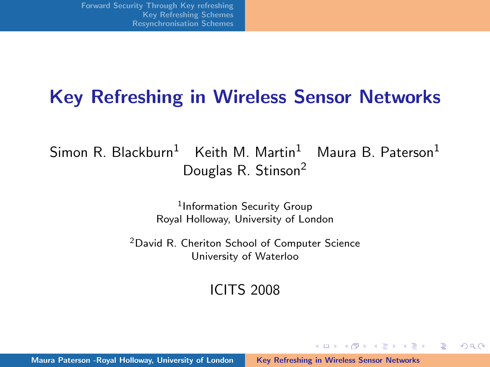### Key Refreshing in Wireless Sensor Networks

 $S$ imon R. Blackburn<sup>1</sup> Keith M. Martin<sup>1</sup> Maura B. Paterson<sup>1</sup> Douglas R. Stinson<sup>2</sup>

> 1 Information Security Group Royal Holloway, University of London

<sup>2</sup>David R. Cheriton School of Computer Science University of Waterloo

ICITS 2008

 $(1, 1)$   $(1, 1)$   $(1, 1)$   $(1, 1)$   $(1, 1)$   $(1, 1)$   $(1, 1)$   $(1, 1)$   $(1, 1)$ 

 $\equiv$ 

<span id="page-0-0"></span> $\Omega$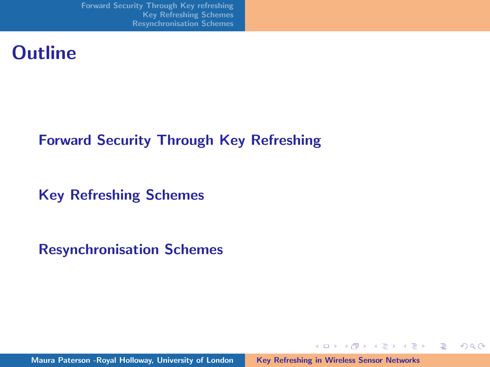[Forward Security Through Key refreshing](#page-2-0) [Key Refreshing Schemes](#page-5-0) [Resynchronisation Schemes](#page-9-0)

### **Outline**

#### [Forward Security Through Key Refreshing](#page-2-0)

[Key Refreshing Schemes](#page-5-0)

[Resynchronisation Schemes](#page-9-0)

Maura Paterson -Royal Holloway, University of London [Key Refreshing in Wireless Sensor Networks](#page-0-0)

イロメ イ部メ イヨメ イヨメー

重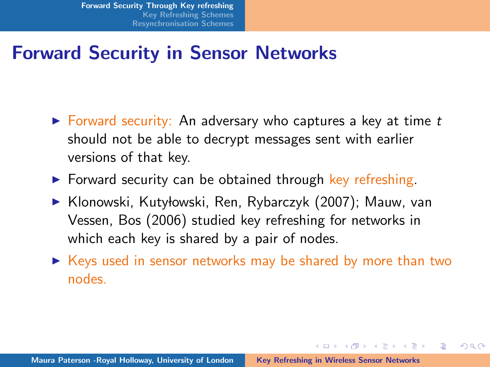# Forward Security in Sensor Networks

- $\triangleright$  Forward security: An adversary who captures a key at time t should not be able to decrypt messages sent with earlier versions of that key.
- $\triangleright$  Forward security can be obtained through key refreshing.
- ▶ Klonowski, Kutyłowski, Ren, Rybarczyk (2007); Mauw, van Vessen, Bos (2006) studied key refreshing for networks in which each key is shared by a pair of nodes.
- $\triangleright$  Keys used in sensor networks may be shared by more than two nodes.

<span id="page-2-0"></span>イロメ イタメ イチメ イチメー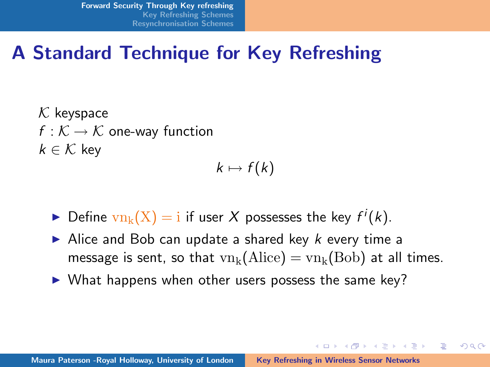# A Standard Technique for Key Refreshing

 $K$  keyspace  $f: K \to K$  one-way function  $k \in \mathcal{K}$  key

 $k \mapsto f(k)$ 

- $\blacktriangleright$  Define  $\text{vn}_k(X) = i$  if user X possesses the key  $f^i(k)$ .
- Alice and Bob can update a shared key  $k$  every time a message is sent, so that  $vn_k(Alice) = vn_k(Bob)$  at all times.

イロメ イタメ イチメ イチメー

へのへ

 $\triangleright$  What happens when other users possess the same key?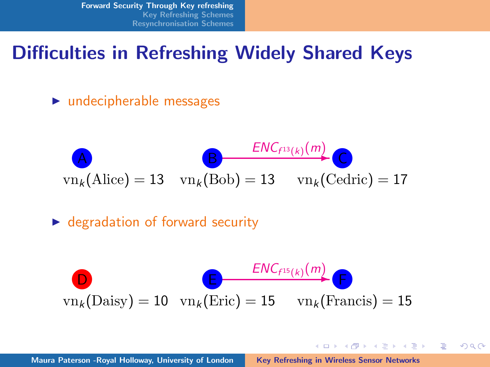[Forward Security Through Key refreshing](#page-2-0) [Key Refreshing Schemes](#page-5-0) [Resynchronisation Schemes](#page-9-0)

### Difficulties in Refreshing Widely Shared Keys

 $\blacktriangleright$  undecipherable messages

$$
\mathbf{B} = \frac{ENC_{f^{13}(k)}(m)}{\text{vn}_k(\text{Alice}) = 13} \quad \text{vn}_k(\text{Bob}) = 13 \quad \text{vn}_k(\text{Cedric}) = 17
$$

 $\triangleright$  degradation of forward security

$$
\text{D}_{\text{vn}_k(\text{Daisy}) = 10 \quad \text{vn}_k(\text{Eric}) = 15 \quad \text{vn}_k(\text{Francis}) = 15}
$$

イロメ イ部メ イヨメ イヨメー

重

 $\Omega$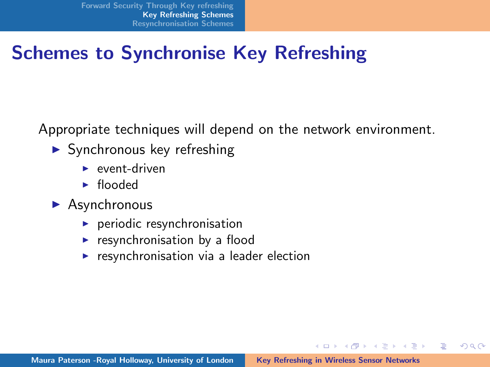# Schemes to Synchronise Key Refreshing

Appropriate techniques will depend on the network environment.

- $\triangleright$  Synchronous key refreshing
	- $\blacktriangleright$  event-driven
	- $\blacktriangleright$  flooded
- $\blacktriangleright$  Asynchronous
	- $\blacktriangleright$  periodic resynchronisation
	- $\blacktriangleright$  resynchronisation by a flood
	- $\triangleright$  resynchronisation via a leader election

イロメ イ押 ビスティスティー

 $\equiv$ 

<span id="page-5-0"></span> $\Omega$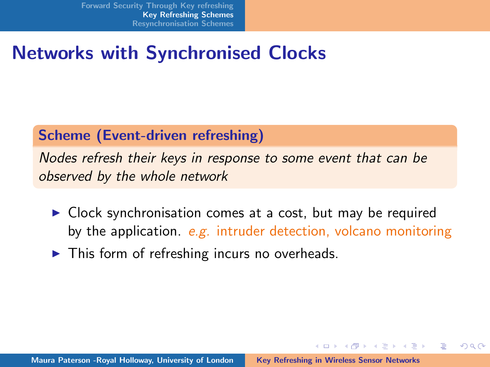# Networks with Synchronised Clocks

#### Scheme (Event-driven refreshing)

Nodes refresh their keys in response to some event that can be observed by the whole network

- $\triangleright$  Clock synchronisation comes at a cost, but may be required by the application.  $e.g.$  intruder detection, volcano monitoring
- $\blacktriangleright$  This form of refreshing incurs no overheads.

イロメ イタメ イチメ イチメー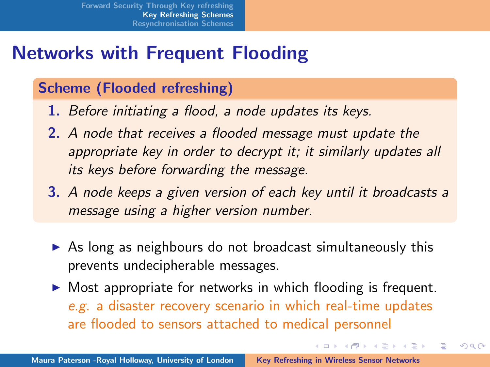# Networks with Frequent Flooding

#### Scheme (Flooded refreshing)

- 1. Before initiating a flood, a node updates its keys.
- 2. A node that receives a flooded message must update the appropriate key in order to decrypt it; it similarly updates all its keys before forwarding the message.
- 3. A node keeps a given version of each key until it broadcasts a message using a higher version number.
- $\triangleright$  As long as neighbours do not broadcast simultaneously this prevents undecipherable messages.
- $\triangleright$  Most appropriate for networks in which flooding is frequent. e.g. a disaster recovery scenario in which real-time updates are flooded to sensors attached to medical personnel

メロメ メ御き メミメ メミメー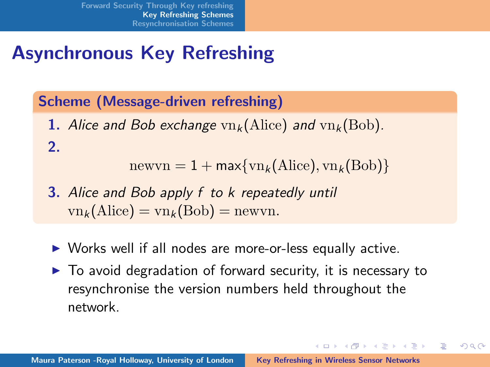# Asynchronous Key Refreshing

#### Scheme (Message-driven refreshing)

1. Alice and Bob exchange  $vn_k(Alice)$  and  $vn_k(Bob)$ . 2.

 $newvn = 1 + max{vn_k(Alice), vn_k(Bob)}$ 

- 3. Alice and Bob apply f to k repeatedly until  $vn_k(\text{Alice}) = vn_k(\text{Bob}) = newvn.$
- $\triangleright$  Works well if all nodes are more-or-less equally active.
- $\triangleright$  To avoid degradation of forward security, it is necessary to resynchronise the version numbers held throughout the network.

イロメ イタメ イチメ イチメー

后

 $\Omega$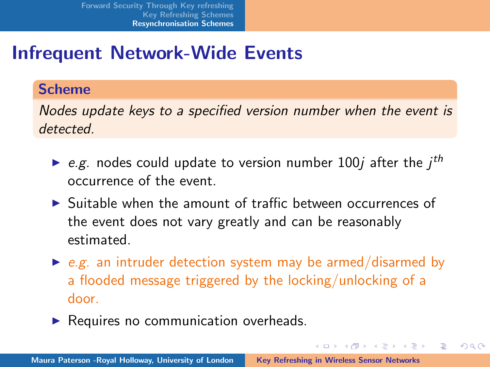# Infrequent Network-Wide Events

#### Scheme

Nodes update keys to a specified version number when the event is detected.

- e.g. nodes could update to version number 100j after the  $j<sup>th</sup>$ occurrence of the event.
- $\triangleright$  Suitable when the amount of traffic between occurrences of the event does not vary greatly and can be reasonably estimated.
- $\triangleright$  e.g. an intruder detection system may be armed/disarmed by a flooded message triggered by the locking/unlocking of a door.

イロメ イタメ イチメ イチメー

<span id="page-9-0"></span>へのへ

 $\blacktriangleright$  Requires no communication overheads.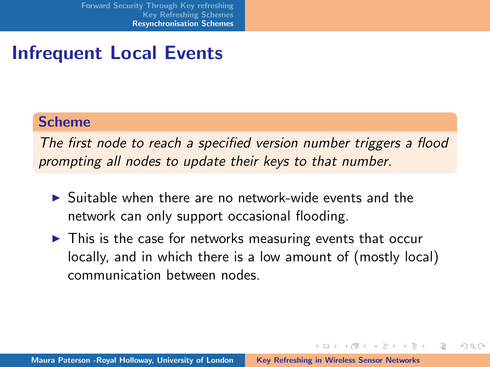# Infrequent Local Events

#### Scheme

The first node to reach a specified version number triggers a flood prompting all nodes to update their keys to that number.

- $\triangleright$  Suitable when there are no network-wide events and the network can only support occasional flooding.
- $\triangleright$  This is the case for networks measuring events that occur locally, and in which there is a low amount of (mostly local) communication between nodes.

イロメ イ押 ビスティスティー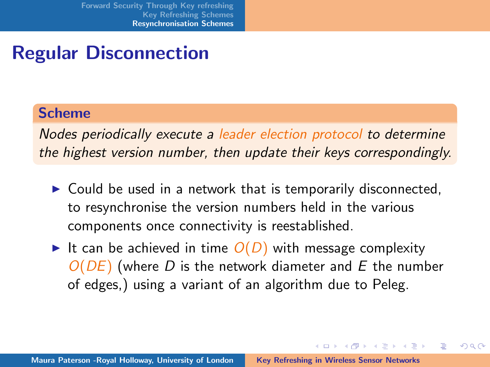# Regular Disconnection

#### Scheme

Nodes periodically execute a leader election protocol to determine the highest version number, then update their keys correspondingly.

- $\triangleright$  Could be used in a network that is temporarily disconnected, to resynchronise the version numbers held in the various components once connectivity is reestablished.
- It can be achieved in time  $O(D)$  with message complexity  $O(DE)$  (where D is the network diameter and E the number of edges,) using a variant of an algorithm due to Peleg.

イロメ イタメ イチメ イチメー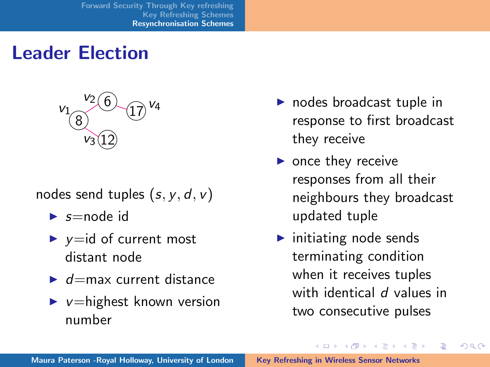

- nodes send tuples  $(s, y, d, v)$ 
	- $\blacktriangleright$  s=node id
	- $\blacktriangleright$  y=id of current most distant node
	- $\blacktriangleright$  d=max current distance
	- $\blacktriangleright$  v=highest known version number
- $\blacktriangleright$  nodes broadcast tuple in response to first broadcast they receive
- $\triangleright$  once they receive responses from all their neighbours they broadcast updated tuple
- $\blacktriangleright$  initiating node sends terminating condition when it receives tuples with identical d values in two consecutive pulses

K ロ ⊁ K 倒 ≯ K ミ ⊁ K ミ ⊁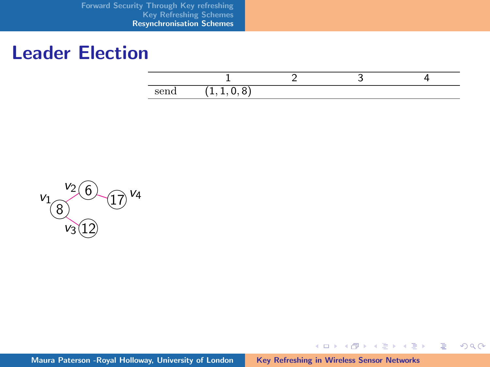[Forward Security Through Key refreshing](#page-2-0) [Key Refreshing Schemes](#page-5-0) [Resynchronisation Schemes](#page-9-0)

### Leader Election

K ロ ▶ K 御 ▶ K 君 ▶ K 君 ▶ ...

 $\equiv$ 

 $2Q$ 



Maura Paterson - Royal Holloway, University of London [Key Refreshing in Wireless Sensor Networks](#page-0-0)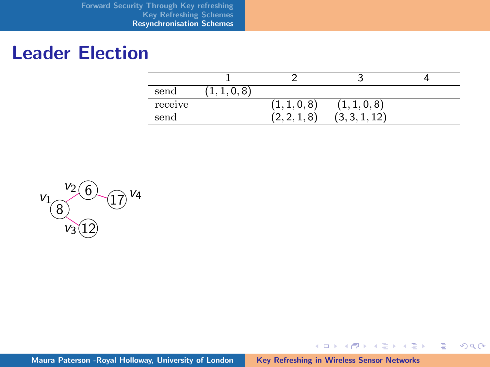| send    | $\circ$ |                         |               |  |
|---------|---------|-------------------------|---------------|--|
| receive |         | (1,1,0,8)               | (1,1,0,8)     |  |
| send    |         | 8<br>$\sim$<br><u>.</u> | 121<br>(3, 3, |  |

メロメ メ都 メメ きょうくきょう

 $\equiv$ 

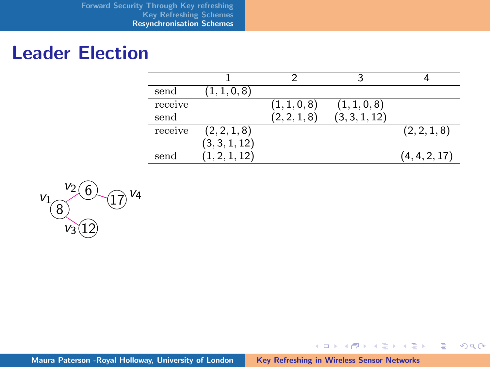| send    | (1, 1, 0, 8)  |              |               |               |
|---------|---------------|--------------|---------------|---------------|
| receive |               | (1, 1, 0, 8) | (1, 1, 0, 8)  |               |
| send    |               | (2, 2, 1, 8) | (3, 3, 1, 12) |               |
| receive | (2, 2, 1, 8)  |              |               | (2, 2, 1, 8)  |
|         | (3, 3, 1, 12) |              |               |               |
| send    | (1, 2, 1, 12) |              |               | (4, 4, 2, 17) |

メロメメ 御き メミメメ ミメン 差し

 $299$ 

$$
v_1 \overline{\overset{v_2}{8}} \overset{6}{\underset{v_3}{0}} \overset{v_4}{17}
$$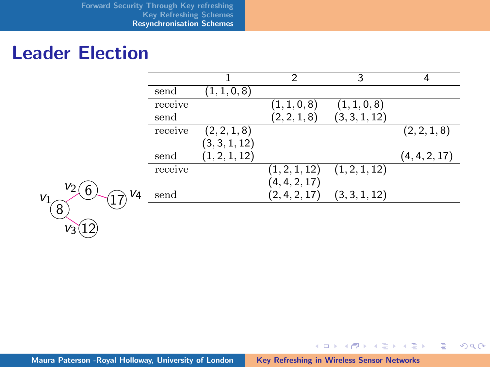|         |               | 2             | 3             |               |
|---------|---------------|---------------|---------------|---------------|
| send    | (1,1,0,8)     |               |               |               |
| receive |               | (1,1,0,8)     | (1, 1, 0, 8)  |               |
| send    |               | (2, 2, 1, 8)  | (3, 3, 1, 12) |               |
| receive | (2, 2, 1, 8)  |               |               | (2, 2, 1, 8)  |
|         | (3,3,1,12)    |               |               |               |
| send    | (1, 2, 1, 12) |               |               | (4, 4, 2, 17) |
| receive |               | (1, 2, 1, 12) | (1, 2, 1, 12) |               |
|         |               | (4, 4, 2, 17) |               |               |
| send    |               | (2, 4, 2, 17) | (3, 3, 1, 12) |               |
|         |               |               |               |               |

メロメメ 御き メミメメ ミメン 差し

 $299$ 

$$
v_1 \overline{\bigotimes^{v_2}_{v_3(12)}}^{v_4} v_4
$$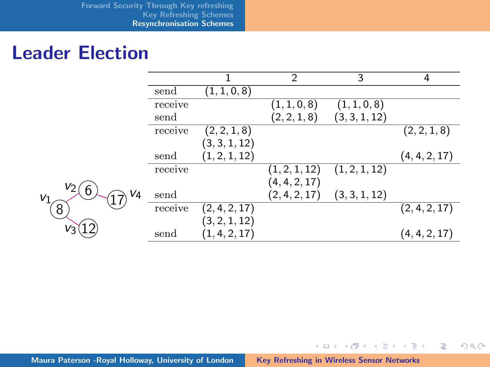|                                |         |               | $\overline{2}$ | 3             | 4             |
|--------------------------------|---------|---------------|----------------|---------------|---------------|
|                                | send    | (1, 1, 0, 8)  |                |               |               |
|                                | receive |               | (1,1,0,8)      | (1, 1, 0, 8)  |               |
|                                | send    |               | (2, 2, 1, 8)   | (3, 3, 1, 12) |               |
|                                | receive | (2, 2, 1, 8)  |                |               | (2, 2, 1, 8)  |
|                                |         | (3, 3, 1, 12) |                |               |               |
|                                | send    | (1, 2, 1, 12) |                |               | (4, 4, 2, 17) |
|                                | receive |               | (1, 2, 1, 12)  | (1, 2, 1, 12) |               |
|                                |         |               | (4, 4, 2, 17)  |               |               |
| V <sub>4</sub>                 | send    |               | (2,4,2,17)     | (3, 3, 1, 12) |               |
|                                | receive | (2, 4, 2, 17) |                |               | (2, 4, 2, 17) |
|                                |         | (3,2,1,12)    |                |               |               |
|                                | send    | (1,4,2,17)    |                |               | (4, 4, 2, 17) |
| V2<br>6<br>V <sub>1</sub><br>8 |         |               |                |               |               |

メロメ メ都 メメ きょうくきょう

重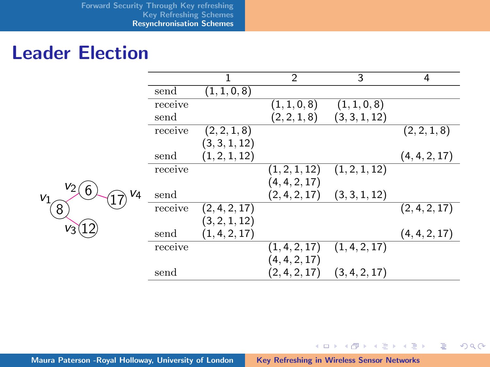|                           |         |               | 2                       | 3             | 4             |
|---------------------------|---------|---------------|-------------------------|---------------|---------------|
|                           | send    | (1,1,0,8)     |                         |               |               |
|                           | receive |               | (1,1,0,8)               | (1, 1, 0, 8)  |               |
|                           | send    |               | (2, 2, 1, 8)            | (3, 3, 1, 12) |               |
|                           | receive | (2, 2, 1, 8)  |                         |               | (2, 2, 1, 8)  |
|                           |         | (3, 3, 1, 12) |                         |               |               |
|                           | send    | (1, 2, 1, 12) |                         |               | (4, 4, 2, 17) |
|                           | receive |               | $\left(1,2,1,12\right)$ | (1, 2, 1, 12) |               |
| V2                        |         |               | (4, 4, 2, 17)           |               |               |
| 6<br>V <sub>4</sub><br>V1 | send    |               | (2, 4, 2, 17)           | (3, 3, 1, 12) |               |
| 8                         | receive | (2, 4, 2, 17) |                         |               | (2, 4, 2, 17) |
|                           |         | (3, 2, 1, 12) |                         |               |               |
| $V_3$                     | send    | (1, 4, 2, 17) |                         |               | (4, 4, 2, 17) |
|                           | receive |               | (1, 4, 2, 17)           | (1, 4, 2, 17) |               |
|                           |         |               | (4, 4, 2, 17)           |               |               |
|                           | send    |               | (2, 4, 2, 17)           | (3, 4, 2, 17) |               |

メロメメ 倒 メメ きょくきょうき

 $299$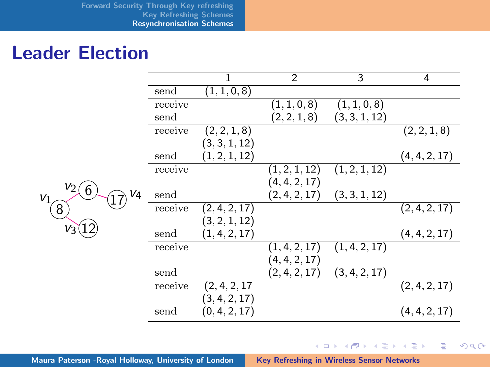|                  |         | 1             | $\overline{2}$ | 3             | 4             |
|------------------|---------|---------------|----------------|---------------|---------------|
|                  | send    | (1,1,0,8)     |                |               |               |
|                  | receive |               | (1, 1, 0, 8)   | (1, 1, 0, 8)  |               |
|                  | send    |               | (2, 2, 1, 8)   | (3, 3, 1, 12) |               |
|                  | receive | (2, 2, 1, 8)  |                |               | (2, 2, 1, 8)  |
|                  |         | (3, 3, 1, 12) |                |               |               |
|                  | send    | (1, 2, 1, 12) |                |               | (4, 4, 2, 17) |
|                  | receive |               | (1, 2, 1, 12)  | (1, 2, 1, 12) |               |
| $V_2$            |         |               | (4, 4, 2, 17)  |               |               |
| 6<br>V4<br>$V_1$ | send    |               | (2, 4, 2, 17)  | (3,3,1,12)    |               |
| $8\phantom{.}8$  | receive | (2, 4, 2, 17) |                |               | (2, 4, 2, 17) |
|                  |         | (3, 2, 1, 12) |                |               |               |
| $V_3$            | send    | (1, 4, 2, 17) |                |               | (4, 4, 2, 17) |
|                  | receive |               | (1, 4, 2, 17)  | (1, 4, 2, 17) |               |
|                  |         |               | (4, 4, 2, 17)  |               |               |
|                  | send    |               | (2, 4, 2, 17)  | (3, 4, 2, 17) |               |
|                  | receive | (2, 4, 2, 17) |                |               | (2, 4, 2, 17) |
|                  |         | (3, 4, 2, 17) |                |               |               |
|                  | send    | (0, 4, 2, 17) |                |               | (4, 4, 2, 17) |

Maura Paterson -Royal Holloway, University of London [Key Refreshing in Wireless Sensor Networks](#page-0-0)

メロメ メ都 メメ きょうくきょう

ミー  $299$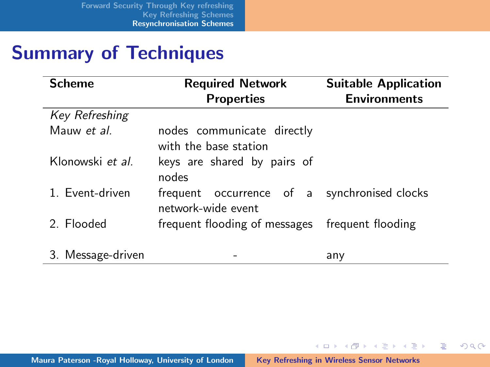# Summary of Techniques

| <b>Scheme</b>     | <b>Required Network</b>                                            | <b>Suitable Application</b> |
|-------------------|--------------------------------------------------------------------|-----------------------------|
|                   | <b>Properties</b>                                                  | <b>Environments</b>         |
| Key Refreshing    |                                                                    |                             |
| Mauw et al.       | nodes communicate directly<br>with the base station                |                             |
| Klonowski et al.  | keys are shared by pairs of<br>nodes                               |                             |
| 1. Event-driven   | frequent occurrence of a synchronised clocks<br>network-wide event |                             |
| 2. Elooded        | frequent flooding of messages frequent flooding                    |                             |
| 3. Message-driven |                                                                    | any                         |

メロメ メタメ メミメ メミメー

重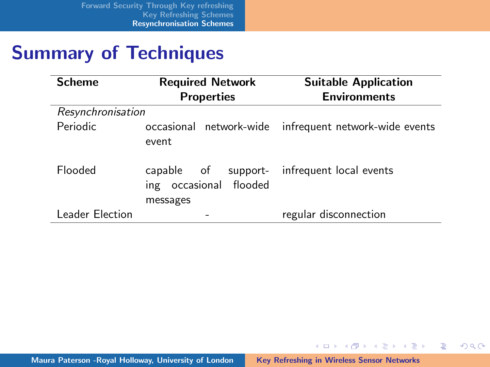# Summary of Techniques

| <b>Scheme</b>     | <b>Required Network</b><br><b>Properties</b>     | <b>Suitable Application</b><br><b>Environments</b>     |
|-------------------|--------------------------------------------------|--------------------------------------------------------|
| Resynchronisation |                                                  |                                                        |
| Periodic          | event                                            | occasional network-wide infrequent network-wide events |
| <b>Flooded</b>    | capable of<br>ing occasional flooded<br>messages | support- infrequent local events                       |
| Leader Election   |                                                  | regular disconnection                                  |

メロメ メ都 ドメ ミメ メミメー

 $\equiv$